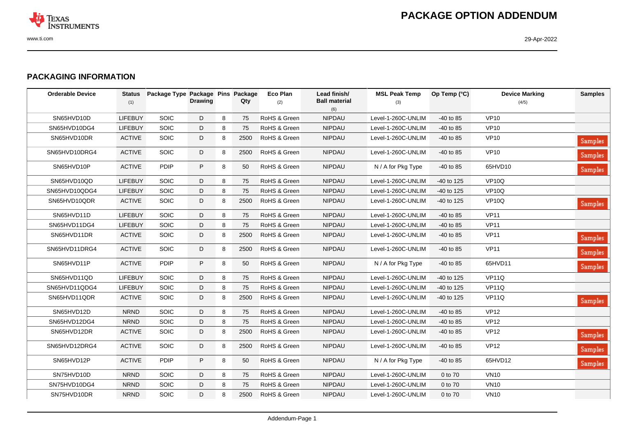

## **PACKAGING INFORMATION**

| <b>Orderable Device</b> | <b>Status</b><br>(1) | Package Type Package Pins Package | <b>Drawing</b> |   | Qty  | Eco Plan<br>(2) | Lead finish/<br><b>Ball material</b><br>(6) | <b>MSL Peak Temp</b><br>(3) | Op Temp (°C) | <b>Device Marking</b><br>(4/5) | <b>Samples</b> |
|-------------------------|----------------------|-----------------------------------|----------------|---|------|-----------------|---------------------------------------------|-----------------------------|--------------|--------------------------------|----------------|
| SN65HVD10D              | LIFEBUY              | SOIC                              | D              | 8 | 75   | RoHS & Green    | <b>NIPDAU</b>                               | Level-1-260C-UNLIM          | $-40$ to 85  | <b>VP10</b>                    |                |
| SN65HVD10DG4            | <b>LIFEBUY</b>       | <b>SOIC</b>                       | D              | 8 | 75   | RoHS & Green    | <b>NIPDAU</b>                               | Level-1-260C-UNLIM          | $-40$ to 85  | <b>VP10</b>                    |                |
| SN65HVD10DR             | <b>ACTIVE</b>        | <b>SOIC</b>                       | D              | 8 | 2500 | RoHS & Green    | <b>NIPDAU</b>                               | Level-1-260C-UNLIM          | $-40$ to 85  | <b>VP10</b>                    | <b>Samples</b> |
| SN65HVD10DRG4           | <b>ACTIVE</b>        | SOIC                              | D              | 8 | 2500 | RoHS & Green    | <b>NIPDAU</b>                               | Level-1-260C-UNLIM          | -40 to 85    | <b>VP10</b>                    | <b>Samples</b> |
| SN65HVD10P              | <b>ACTIVE</b>        | <b>PDIP</b>                       | P              | 8 | 50   | RoHS & Green    | <b>NIPDAU</b>                               | N / A for Pkg Type          | $-40$ to 85  | 65HVD10                        | Samples        |
| SN65HVD10QD             | <b>LIFEBUY</b>       | SOIC                              | D              | 8 | 75   | RoHS & Green    | <b>NIPDAU</b>                               | Level-1-260C-UNLIM          | -40 to 125   | <b>VP10Q</b>                   |                |
| SN65HVD10QDG4           | <b>LIFEBUY</b>       | <b>SOIC</b>                       | D              | 8 | 75   | RoHS & Green    | <b>NIPDAU</b>                               | Level-1-260C-UNLIM          | $-40$ to 125 | VP <sub>10Q</sub>              |                |
| SN65HVD10QDR            | <b>ACTIVE</b>        | <b>SOIC</b>                       | D              | 8 | 2500 | RoHS & Green    | <b>NIPDAU</b>                               | Level-1-260C-UNLIM          | $-40$ to 125 | <b>VP10Q</b>                   | Samples        |
| SN65HVD11D              | LIFEBUY              | SOIC                              | D              | 8 | 75   | RoHS & Green    | <b>NIPDAU</b>                               | Level-1-260C-UNLIM          | -40 to 85    | <b>VP11</b>                    |                |
| SN65HVD11DG4            | <b>LIFEBUY</b>       | SOIC                              | D              | 8 | 75   | RoHS & Green    | <b>NIPDAU</b>                               | Level-1-260C-UNLIM          | $-40$ to 85  | <b>VP11</b>                    |                |
| SN65HVD11DR             | <b>ACTIVE</b>        | SOIC                              | D              | 8 | 2500 | RoHS & Green    | <b>NIPDAU</b>                               | Level-1-260C-UNLIM          | $-40$ to 85  | <b>VP11</b>                    | Samples        |
| SN65HVD11DRG4           | <b>ACTIVE</b>        | <b>SOIC</b>                       | D              | 8 | 2500 | RoHS & Green    | <b>NIPDAU</b>                               | Level-1-260C-UNLIM          | $-40$ to 85  | <b>VP11</b>                    | <b>Samples</b> |
| SN65HVD11P              | <b>ACTIVE</b>        | <b>PDIP</b>                       | P              | 8 | 50   | RoHS & Green    | NIPDAU                                      | N / A for Pkg Type          | $-40$ to 85  | 65HVD11                        | <b>Samples</b> |
| SN65HVD11QD             | <b>LIFEBUY</b>       | SOIC                              | D              | 8 | 75   | RoHS & Green    | <b>NIPDAU</b>                               | Level-1-260C-UNLIM          | -40 to 125   | <b>VP11Q</b>                   |                |
| SN65HVD11QDG4           | <b>LIFEBUY</b>       | SOIC                              | D              | 8 | 75   | RoHS & Green    | <b>NIPDAU</b>                               | Level-1-260C-UNLIM          | -40 to 125   | <b>VP11Q</b>                   |                |
| SN65HVD11QDR            | <b>ACTIVE</b>        | SOIC                              | D              | 8 | 2500 | RoHS & Green    | <b>NIPDAU</b>                               | Level-1-260C-UNLIM          | $-40$ to 125 | VP11Q                          | <b>Samples</b> |
| SN65HVD12D              | <b>NRND</b>          | <b>SOIC</b>                       | D              | 8 | 75   | RoHS & Green    | <b>NIPDAU</b>                               | Level-1-260C-UNLIM          | $-40$ to 85  | <b>VP12</b>                    |                |
| SN65HVD12DG4            | <b>NRND</b>          | SOIC                              | D              | 8 | 75   | RoHS & Green    | <b>NIPDAU</b>                               | Level-1-260C-UNLIM          | $-40$ to 85  | <b>VP12</b>                    |                |
| SN65HVD12DR             | <b>ACTIVE</b>        | <b>SOIC</b>                       | D              | 8 | 2500 | RoHS & Green    | <b>NIPDAU</b>                               | Level-1-260C-UNLIM          | $-40$ to 85  | <b>VP12</b>                    | <b>Samples</b> |
| SN65HVD12DRG4           | <b>ACTIVE</b>        | <b>SOIC</b>                       | D              | 8 | 2500 | RoHS & Green    | <b>NIPDAU</b>                               | Level-1-260C-UNLIM          | $-40$ to 85  | <b>VP12</b>                    | Samples        |
| SN65HVD12P              | <b>ACTIVE</b>        | <b>PDIP</b>                       | P              | 8 | 50   | RoHS & Green    | <b>NIPDAU</b>                               | N / A for Pkg Type          | $-40$ to 85  | 65HVD12                        | <b>Samples</b> |
| SN75HVD10D              | <b>NRND</b>          | <b>SOIC</b>                       | D              | 8 | 75   | RoHS & Green    | <b>NIPDAU</b>                               | Level-1-260C-UNLIM          | 0 to 70      | <b>VN10</b>                    |                |
| SN75HVD10DG4            | <b>NRND</b>          | SOIC                              | D              | 8 | 75   | RoHS & Green    | NIPDAU                                      | Level-1-260C-UNLIM          | 0 to 70      | <b>VN10</b>                    |                |
| SN75HVD10DR             | <b>NRND</b>          | <b>SOIC</b>                       | D              | 8 | 2500 | RoHS & Green    | <b>NIPDAU</b>                               | Level-1-260C-UNLIM          | 0 to 70      | <b>VN10</b>                    |                |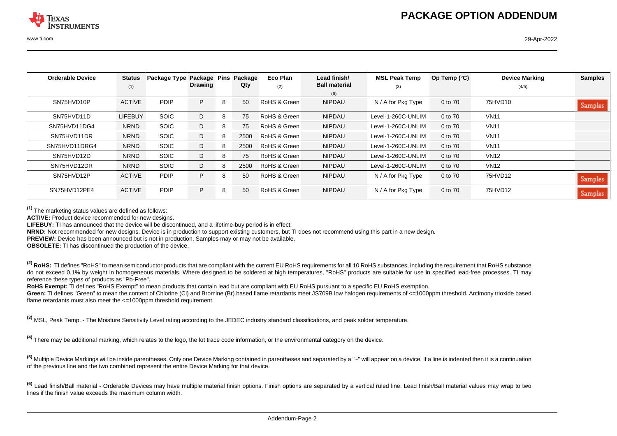| <b>Orderable Device</b> | <b>Status</b>  | Package Type Package Pins |         |   | Package | Eco Plan     | Lead finish/         | <b>MSL Peak Temp</b> | Op Temp $(^{\circ}C)$ | <b>Device Marking</b> | <b>Samples</b> |
|-------------------------|----------------|---------------------------|---------|---|---------|--------------|----------------------|----------------------|-----------------------|-----------------------|----------------|
|                         | (1)            |                           | Drawing |   | Qty     | (2)          | <b>Ball material</b> | (3)                  |                       | (4/5)                 |                |
|                         |                |                           |         |   |         |              | (6)                  |                      |                       |                       |                |
| SN75HVD10P              | <b>ACTIVE</b>  | <b>PDIP</b>               | P.      | 8 | 50      | RoHS & Green | <b>NIPDAU</b>        | N / A for Pkg Type   | 0 to 70               | 75HVD10               | Samples        |
| SN75HVD11D              | <b>LIFEBUY</b> | <b>SOIC</b>               | D       | 8 | 75      | RoHS & Green | <b>NIPDAU</b>        | Level-1-260C-UNLIM   | 0 to 70               | <b>VN11</b>           |                |
| SN75HVD11DG4            | <b>NRND</b>    | <b>SOIC</b>               | D       | 8 | 75      | RoHS & Green | <b>NIPDAU</b>        | Level-1-260C-UNLIM   | 0 to 70               | <b>VN11</b>           |                |
| SN75HVD11DR             | <b>NRND</b>    | <b>SOIC</b>               | D       | 8 | 2500    | RoHS & Green | <b>NIPDAU</b>        | Level-1-260C-UNLIM   | 0 to 70               | <b>VN11</b>           |                |
| SN75HVD11DRG4           | <b>NRND</b>    | <b>SOIC</b>               | D       | 8 | 2500    | RoHS & Green | <b>NIPDAU</b>        | Level-1-260C-UNLIM   | 0 to 70               | <b>VN11</b>           |                |
| SN75HVD12D              | <b>NRND</b>    | <b>SOIC</b>               | D       | 8 | 75      | RoHS & Green | <b>NIPDAU</b>        | Level-1-260C-UNLIM   | 0 to 70               | <b>VN12</b>           |                |
| SN75HVD12DR             | <b>NRND</b>    | <b>SOIC</b>               | D       | 8 | 2500    | RoHS & Green | <b>NIPDAU</b>        | Level-1-260C-UNLIM   | 0 to 70               | <b>VN12</b>           |                |
| SN75HVD12P              | <b>ACTIVE</b>  | <b>PDIP</b>               | P.      | 8 | 50      | RoHS & Green | <b>NIPDAU</b>        | N / A for Pkg Type   | 0 to 70               | 75HVD12               | <b>Samples</b> |
| SN75HVD12PE4            | <b>ACTIVE</b>  | <b>PDIP</b>               | P.      | 8 | 50      | RoHS & Green | <b>NIPDAU</b>        | N / A for Pkg Type   | 0 to 70               | 75HVD12               | <b>Samples</b> |

**(1)** The marketing status values are defined as follows:

**ACTIVE:** Product device recommended for new designs.

**LIFEBUY:** TI has announced that the device will be discontinued, and a lifetime-buy period is in effect.

**NRND:** Not recommended for new designs. Device is in production to support existing customers, but TI does not recommend using this part in a new design.

**PREVIEW:** Device has been announced but is not in production. Samples may or may not be available.

**OBSOLETE:** TI has discontinued the production of the device.

<sup>(2)</sup> RoHS: TI defines "RoHS" to mean semiconductor products that are compliant with the current EU RoHS requirements for all 10 RoHS substances, including the requirement that RoHS substance do not exceed 0.1% by weight in homogeneous materials. Where designed to be soldered at high temperatures. "RoHS" products are suitable for use in specified lead-free processes. TI may reference these types of products as "Pb-Free".

RoHS Exempt: TI defines "RoHS Exempt" to mean products that contain lead but are compliant with EU RoHS pursuant to a specific EU RoHS exemption.

Green: TI defines "Green" to mean the content of Chlorine (CI) and Bromine (Br) based flame retardants meet JS709B low halogen requirements of <=1000ppm threshold. Antimony trioxide based flame retardants must also meet the <=1000ppm threshold requirement.

**(3)** MSL, Peak Temp. - The Moisture Sensitivity Level rating according to the JEDEC industry standard classifications, and peak solder temperature.

**(4)** There may be additional marking, which relates to the logo, the lot trace code information, or the environmental category on the device.

**(5)** Multiple Device Markings will be inside parentheses. Only one Device Marking contained in parentheses and separated by a "~" will appear on a device. If a line is indented then it is a continuation of the previous line and the two combined represent the entire Device Marking for that device.

**(6)** Lead finish/Ball material - Orderable Devices may have multiple material finish options. Finish options are separated by a vertical ruled line. Lead finish/Ball material values may wrap to two lines if the finish value exceeds the maximum column width.